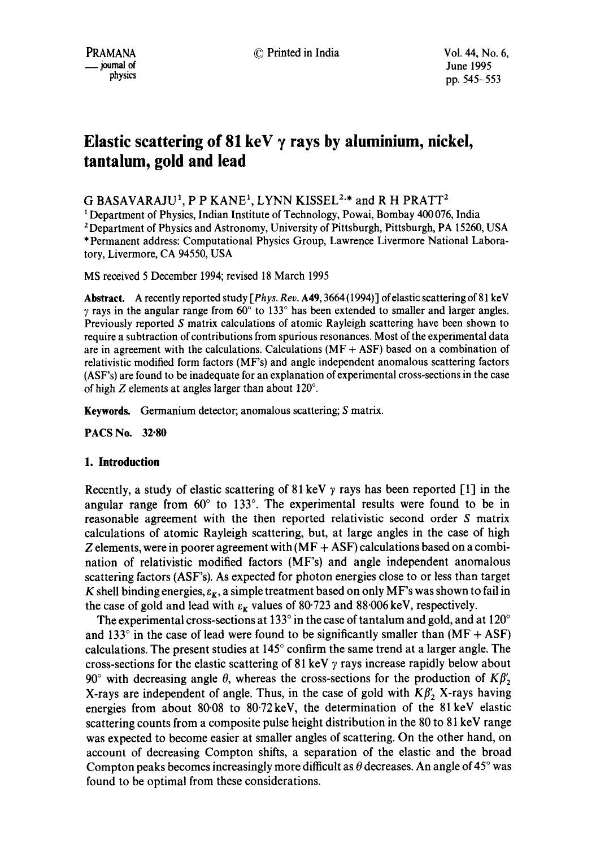# Elastic scattering of 81 keV  $\gamma$  rays by aluminium, nickel, **tantalum, gold and lead**

G BASAVARAJU<sup>1</sup>, P P KANE<sup>1</sup>, LYNN KISSEL<sup>2,\*</sup> and R H PRATT<sup>2</sup>

1 Department of Physics, Indian Institute of Technology, Powai, Bombay 400 076, India

2 Department of Physics and Astronomy, University of Pittsburgh, Pittsburgh, PA 15260, USA \* Permanent address: Computational Physics Group, Lawrence Livermore National Laboratory, Livermore, CA 94550, USA

MS received 5 December 1994; revised 18 March 1995

**Abstract.** *A recently reported study [ Phys. Rev. A 49, 3664 (1994) ] of elastic scattering of 81ke V*   $\gamma$  rays in the angular range from 60 $\degree$  to 133 $\degree$  has been extended to smaller and larger angles. Previously reported S matrix calculations of atomic Rayleigh scattering have been shown to require a subtraction of contributions from spurious resonances. Most of the experimental data are in agreement with the calculations. Calculations  $(MF + ASF)$  based on a combination of relativistic modified form factors (MF's) and angle independent anomalous scattering factors (ASF's) are found to be inadequate for an explanation of experimental cross-sections in the case of high  $Z$  elements at angles larger than about 120°.

**Keywords.** Germanium detector; anomalous scattering; S matrix.

**PACS No. 32.80** 

## **1. Introduction**

Recently, a study of elastic scattering of 81 keV  $\gamma$  rays has been reported [1] in the angular range from  $60^{\circ}$  to 133°. The experimental results were found to be in reasonable agreement with the then reported relativistic second order S matrix calculations of atomic Rayleigh scattering, but, at large angles in the case of high Z elements, were in poorer agreement with  $(MF + AST)$  calculations based on a combination of relativistic modified factors (MF's) and angle independent anomalous scattering factors (ASF's). As expected for photon energies close to or less than target K shell binding energies,  $\varepsilon_K$ , a simple treatment based on only MF's was shown to fail in the case of gold and lead with  $\varepsilon_K$  values of 80.723 and 88.006 keV, respectively.

The experimental cross-sections at 133 $\degree$  in the case of tantalum and gold, and at 120 $\degree$ and 133 $\degree$  in the case of lead were found to be significantly smaller than (MF + ASF) calculations. The present studies at  $145^\circ$  confirm the same trend at a larger angle. The cross-sections for the elastic scattering of 81 keV  $\gamma$  rays increase rapidly below about 90° with decreasing angle  $\theta$ , whereas the cross-sections for the production of  $K\beta'_{2}$ X-rays are independent of angle. Thus, in the case of gold with  $K\beta'_{2}$  X-rays having energies from about 80.08 to 80.72keV, the determination of the 81keV elastic scattering counts from a composite pulse height distribution in the 80 to 81 keV range was expected to become easier at smaller angles of scattering. On the other hand, on account of decreasing Compton shifts, a separation of the elastic and the broad Compton peaks becomes increasingly more difficult as  $\theta$  decreases. An angle of 45 $^{\circ}$  was found to be optimal from these considerations.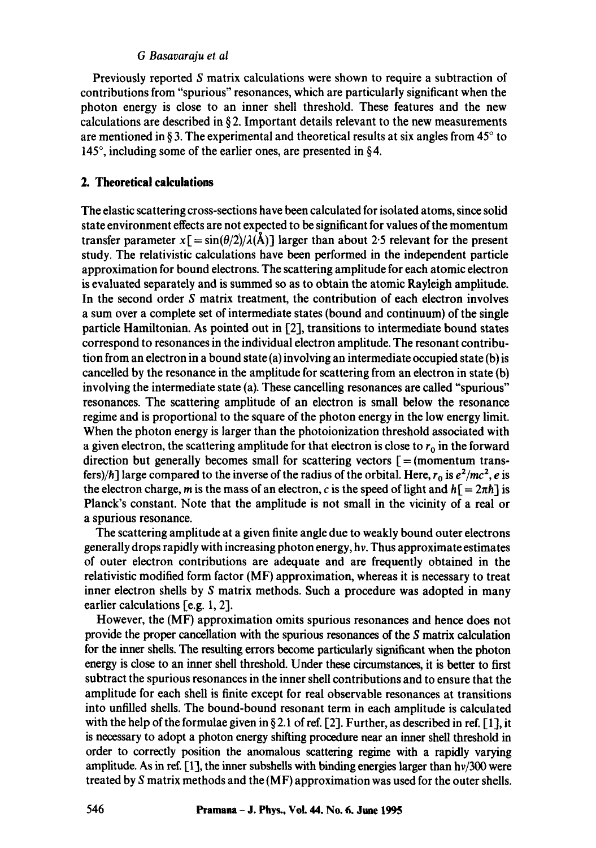## *G Basavaraju et al*

Previously reported S matrix calculations were shown to require a subtraction of contributions from "spurious" resonances, which are particularly significant when the photon energy is close to an inner shell threshold. These features and the new calculations are described in § 2. Important details relevant to the new measurements are mentioned in § 3. The experimental and theoretical results at six angles from  $45^\circ$  to 145 $\degree$ , including some of the earlier ones, are presented in §4.

## **2. Theoretical calculations**

The elastic scattering cross-sections have been calculated for isolated atoms, since solid state environment effects are not expected to be significant for values of the momentum transfer parameter  $x = \frac{\sin(\theta/2)}{\lambda(\mathbf{A})}$  larger than about 2.5 relevant for the present study. The relativistic calculations have been performed in the independent particle approximation for bound electrons. The scattering amplitude for each atomic electron is evaluated separately and is summed so as to obtain the atomic Rayleigh amplitude. In the second order S matrix treatment, the contribution of each electron involves a sum over a complete set of intermediate states (bound and continuum) of the single particle Hamiltonian. As pointed out in [21, transitions to intermediate bound states correspond to resonances in the individual electron amplitude. The resonant contribution from an electron in a bound state (a) involving an intermediate occupied state (b) is cancelled by the resonance in the amplitude for scattering from an electron in state (b) involving the intermediate state (a). These cancelling resonances are called "spurious" resonances. The scattering amplitude of an electron is small below the resonance regime and is proportional to the square of the photon energy in the low energy limit. When the photon energy is larger than the photoionization threshold associated with a given electron, the scattering amplitude for that electron is close to  $r_0$  in the forward direction but generally becomes small for scattering vectors  $[$  = (momentum transfers)/h] large compared to the inverse of the radius of the orbital. Here,  $r_0$  is  $e^2/mc^2$ , *e* is the electron charge, m is the mass of an electron, c is the speed of light and  $h = 2\pi\hbar$  is Planck's constant. Note that the amplitude is not small in the vicinity of a real or a spurious resonance.

The scattering amplitude at a given finite angle due to weakly bound outer electrons generally drops rapidly with increasing photon energy, hr. Thus approximate estimates of outer electron contributions are adequate and are frequently obtained in the relativistic modified form factor (MF) approximation, whereas it is necessary to treat inner electron shells by S matrix methods. Such a procedure was adopted in many earlier calculations  $[e.g. 1, 2]$ .

However, the (MF) approximation omits spurious resonances and hence does not provide the proper cancellation with the spurious resonances of the S matrix calculation for the inner shells. The resulting errors become particularly significant when the photon energy is close to an inner shell threshold. Under these circumstances, it is better to first subtract the spurious resonances in the inner shell contributions and to ensure that the amplitude for each shell is finite except for real observable resonances at transitions into unfilled shells. The bound-bound resonant term in each amplitude is calculated with the help of the formulae given in § 2.1 of ref. [2]. Further, as described in ref. [1], it is necessary to adopt a photon energy shifting procedure near an inner shell threshold in order to correctly position the anomalous scattering regime with a rapidly varying amplitude. As in ref.  $[1]$ , the inner subshells with binding energies larger than  $h\nu/300$  were treated by S matrix methods and the (MF) approximation was used for the outer shells.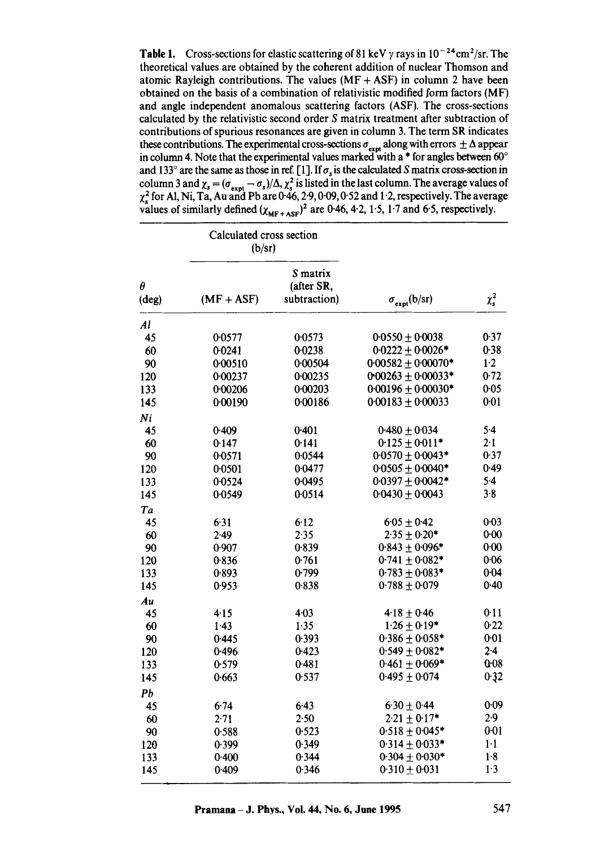**Table 1.** Cross-sections for elastic scattering of 81 keV  $\gamma$  rays in 10<sup>-24</sup> cm<sup>2</sup>/sr. The theoretical values are obtained by the coherent addition of nuclear Thomson and atomic Rayleigh contributions. The values  $(MF + ASF)$  in column 2 have been obtained on the basis of a combination of relativistic modified form factors (MF) and angle independent anomalous scattering factors (ASF). The cross-sections calculated by the relativistic second order S matrix treatment after subtraction of contributions of spurious resonances are given in column 3. The term SR indicates these contributions. The experimental cross-sections  $\sigma_{\text{ext}}$  along with errors  $\pm \Delta$  appear in column 4. Note that the experimental values marked with a  $*$  for angles between 60 $^{\circ}$ and 133° are the same as those in ref. [1]. If  $\sigma_s$  is the calculated S matrix cross-section in column 3 and  $\chi_s = (\sigma_{s, m} - \sigma_s)/\Delta$ ,  $\chi_s^2$  is listed in the last column. The average values of  $\chi^2$  for Al, Ni, Ta, Au and Pb are 0.46, 2.9, 0.09, 0.52 and 1.2, respectively. The average values of similarly defined  $(\chi_{MF+ASF})^2$  are 0-46, 4-2, 1.5, 1.7 and 6.5, respectively.

| $\pmb{\theta}$<br>(deg) | Calculated cross section<br>(b/sr) |                                        |                              |             |
|-------------------------|------------------------------------|----------------------------------------|------------------------------|-------------|
|                         | $(MF + ASF)$                       | S matrix<br>(after SR,<br>subtraction) | $\sigma_{\text{expt}}(b/sr)$ | $\chi_s^2$  |
| $\mathcal{A}$ l         |                                    |                                        |                              |             |
| 45                      | 0.0577                             | 0.0573                                 | $0.0550 \pm 0.0038$          | 0.37        |
| 60                      | 0.0241                             | 0.0238                                 | $0.0222 \pm 0.0026*$         | 0.38        |
| 90                      | 0.00510                            | 0.00504                                | $0.00582 \pm 0.00070*$       | $1-2$       |
| 120                     | 0.00237                            | 0.00235                                | 0.00263 $\pm$ 0.00033*       | 0.72        |
| 133                     | 0.00206                            | 0.00203                                | $0.00196 \pm 0.00030*$       | 0.05        |
| 145                     | 0.00190                            | 0.00186                                | $0.00183 \pm 0.00033$        | 0.01        |
| Ni                      |                                    |                                        |                              |             |
| 45                      | 0.409                              | 0.401                                  | $0.480 \pm 0.034$            | 5.4         |
| 60                      | 0.147                              | 0.141                                  | $0.125 \pm 0.011*$           | 2.1         |
| 90                      | 0.0571                             | 0.0544                                 | $0.0570 \pm 0.0043*$         | 0.37        |
| 120                     | 0.0501                             | 0.0477                                 | $0.0505 \pm 0.0040*$         | 0.49        |
| 133                     | 0.0524                             | 0.0495                                 | $0.0397 + 0.0042*$           | $5-4$       |
| 145                     | 00549                              | 0.0514                                 | $0.0430 \pm 0.0043$          | 3.8         |
| Ta                      |                                    |                                        |                              |             |
| 45                      | 6.31                               | $6 - 12$                               | $6.05 \pm 0.42$              | $0 - 03$    |
| 60                      | 2.49                               | 2.35                                   | $2.35 \pm 0.20*$             | 0.00        |
| 90                      | 0.907                              | 0.839                                  | $0.843 \pm 0.096*$           | 0.00        |
| 120                     | 0.836                              | 0.761                                  | $0.741 \pm 0.082*$           | 0.06        |
| 133                     | 0.893                              | 0.799                                  | $0.783 \pm 0.083*$           | 0.04        |
| 145                     | 0.953                              | 0.838                                  | $0.788 \pm 0.079$            | 0.40        |
| Au                      |                                    |                                        |                              |             |
| 45                      | 4.15                               | $4 - 03$                               | $4.18 \pm 0.46$              | 0.11        |
| 60                      | 1.43                               | 1.35                                   | $1.26 \pm 0.19*$             | 0.22        |
| 90                      | 0.445                              | 0.393                                  | $0.386 \pm 0.058*$           | $0 - 01$    |
| 120                     | 0.496                              | 0.423                                  | $0.549 \pm 0.082*$           | $2 - 4$     |
| 133                     | 0.579                              | 0.481                                  | $0.461 \pm 0.069*$           | 0.08        |
| 145                     | 0.663                              | 0.537                                  | $0.495 + 0.074$              | 0.32        |
| Pb                      |                                    |                                        |                              |             |
| 45                      | 6.74                               | 6.43                                   | $6.30 \pm 0.44$              | 0.09        |
| 60                      | 2.71                               | 2.50                                   | $2.21 \pm 0.17*$             | 2.9         |
| 90                      | 0.588                              | 0.523                                  | $0.518 \pm 0.045*$           | $0 - 01$    |
| 120                     | 0.399                              | 0.349                                  | $0.314 \pm 0.033*$           | $1 \cdot 1$ |
| 133                     | 0.400                              | 0.344                                  | $0.304 \pm 0.030*$           | 1.8         |
| 145                     | 0.409                              | 0.346                                  | $0.310 \pm 0.031$            | 1.3         |
|                         |                                    |                                        |                              |             |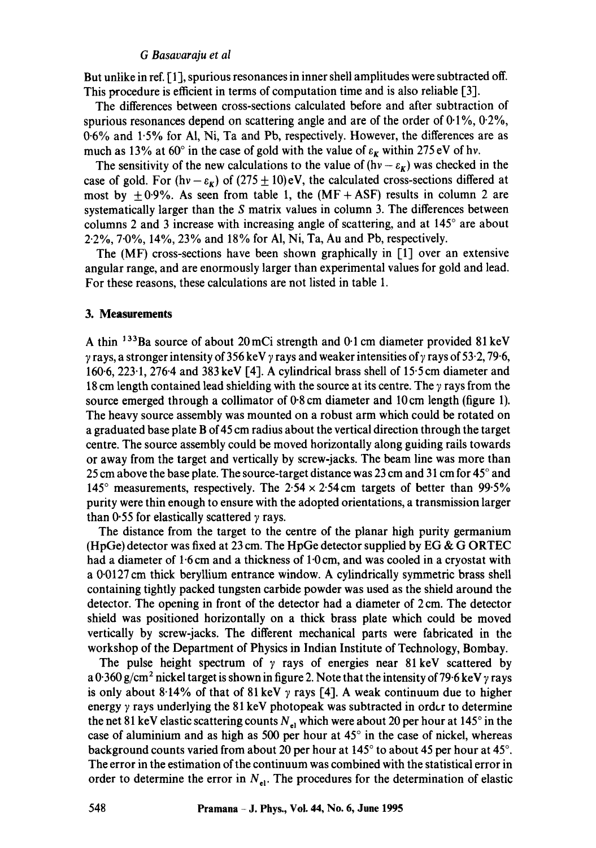## *G Basavaraju et al*

But unlike in ref. [1], spurious resonances in inner shell amplitudes were subtracted off. This procedure is efficient in terms of computation time and is also reliable [3].

The differences between cross-sections calculated before and after subtraction of spurious resonances depend on scattering angle and are of the order of  $0.1\%$ ,  $0.2\%$ , 0-6% and 1.5% for AI, Ni, Ta and Pb, respectively. However, the differences are as much as 13% at 60° in the case of gold with the value of  $\varepsilon_K$  within 275 eV of hv.

The sensitivity of the new calculations to the value of  $(hv - \varepsilon_k)$  was checked in the case of gold. For (hv -  $\varepsilon_K$ ) of (275  $\pm$  10)eV, the calculated cross-sections differed at most by  $\pm 0.9$ %. As seen from table 1, the (MF + ASF) results in column 2 are systematically larger than the S matrix values in column 3. The differences between columns 2 and 3 increase with increasing angle of scattering, and at  $145^\circ$  are about *2"2%,* 7-0%, 14%, 23% and 18% for AI, Ni, Ta, Au and Pb, respectively.

The (MF) cross-sections have been shown graphically in [1] over an extensive angular range, and are enormously larger than experimental values for gold and lead. For these reasons, these calculations are not listed in table 1.

#### **3. Measurements**

A thin  $133Ba$  source of about 20 mCi strength and 0.1 cm diameter provided 81 keV  $\gamma$  rays, a stronger intensity of 356 keV  $\gamma$  rays and weaker intensities of  $\gamma$  rays of 53.2, 79.6, 160.6, 223.1,276.4 and 383 keV [4]. A cylindrical brass shell of 15.5 cm diameter and 18 cm length contained lead shielding with the source at its centre. The  $\gamma$  rays from the source emerged through a collimator of 0.8 cm diameter and 10 cm length (figure 1). The heavy source assembly was mounted on a robust arm which could be rotated on a graduated base plate B of 45 cm radius about the vertical direction through the target centre. The source assembly could be moved horizontally along guiding rails towards or away from the target and vertically by screw-jacks. The beam line was more than 25 cm above the base plate. The source-target distance was 23 cm and 31 cm for 45° and 145 $\degree$  measurements, respectively. The 2.54  $\times$  2.54 cm targets of better than 99.5% purity were thin enough to ensure with the adopted orientations, a transmission larger than 0.55 for elastically scattered  $\gamma$  rays.

The distance from the target to the centre of the planar high purity germanium (HpGe) detector was fixed at 23 cm. The HpGe detector supplied by EG & G ORTEC had a diameter of  $1.6$  cm and a thickness of  $1.0$  cm, and was cooled in a cryostat with a 0-0127 cm thick beryllium entrance window. A cylindrically symmetric brass shell containing tightly packed tungsten carbide powder was used as the shield around the detector. The opening in front of the detector had a diameter of 2 cm. The detector shield was positioned horizontally on a thick brass plate which could be moved vertically by screw-jacks. The different mechanical parts were fabricated in the workshop of the Department of Physics in Indian Institute of Technology, Bombay.

The pulse height spectrum of  $\gamma$  rays of energies near 81 keV scattered by a 0.360 g/cm<sup>2</sup> nickel target is shown in figure 2. Note that the intensity of 79.6 keV  $\gamma$  rays is only about 8.14% of that of 81 keV  $\gamma$  rays [4]. A weak continuum due to higher energy  $\gamma$  rays underlying the 81 keV photopeak was subtracted in order to determine the net 81 keV elastic scattering counts  $N_{el}$  which were about 20 per hour at 145 $\degree$  in the case of aluminium and as high as 500 per hour at  $45^{\circ}$  in the case of nickel, whereas background counts varied from about 20 per hour at  $145^{\circ}$  to about 45 per hour at 45 $^{\circ}$ . The error in the estimation of the continuum was combined with the statistical error in order to determine the error in  $N_{el}$ . The procedures for the determination of elastic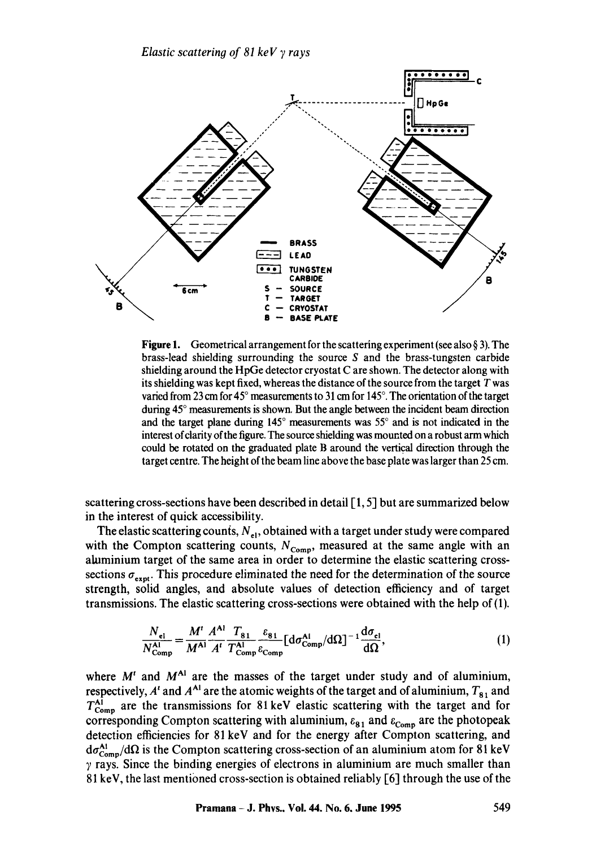*Elastic scattering of 81 keV 7 rays* 



**Figure 1.** Geometrical arrangement for the scattering experiment (see also  $\S$  3). The brass-lead shielding surrounding the source  $S$  and the brass-tungsten carbide shielding around the HpGe detector cryostat C are shown. The detector along with its shielding was kept fixed, whereas the distance of the source from the target T was varied from 23 cm for 45° measurements to 31 cm for 145°. The orientation of the target during 45° measurements is shown. But the angle between the incident beam direction and the target plane during  $145^\circ$  measurements was  $55^\circ$  and is not indicated in the interest of clarity of the figure. The source shielding was mounted on a robust arm which could be rotated on the graduated plate B around the vertical direction through the target centre. The height of the beam line above the base plate was larger than 25 cm.

scattering cross-sections have been described in detail  $[1, 5]$  but are summarized below in the interest of quick accessibility.

The elastic scattering counts,  $N_{el}$ , obtained with a target under study were compared with the Compton scattering counts,  $N_{\text{Comp}}$ , measured at the same angle with an aluminium target of the same area in order to determine the elastic scattering crosssections  $\sigma_{\text{expt}}$ . This procedure eliminated the need for the determination of the source strength, solid angles, and absolute values of detection efficiency and of target transmissions. The elastic scattering cross-sections were obtained with the help of (1).

$$
\frac{N_{\text{el}}}{N_{\text{Comp}}^{\text{Al}}} = \frac{M^t}{M^{\text{Al}}} \frac{A^{\text{Al}} T_{\text{81}}}{A^t} \frac{T_{\text{81}}}{T_{\text{Comp}}^{\text{Al}}} \frac{\varepsilon_{\text{81}}}{\varepsilon_{\text{Comp}}} \left[ \frac{d\sigma_{\text{cl}}^{\text{Al}}}{d\Omega} \right]^{-1} \frac{d\sigma_{\text{el}}}{d\Omega},\tag{1}
$$

where  $M<sup>t</sup>$  and  $M<sup>Al</sup>$  are the masses of the target under study and of aluminium, respectively,  $A^t$  and  $A^{A_1}$  are the atomic weights of the target and of aluminium,  $T_{81}$  and  $T_{\text{Comp}}^{\text{Al}}$  are the transmissions for 81 keV elastic scattering with the target and for corresponding Compton scattering with aluminium,  $\varepsilon_{81}$  and  $\varepsilon_{Comp}$  are the photopeak detection efficiencies for 81 keV and for the energy after Compton scattering, and  $d\sigma_{\text{Comp}}^{\text{Al}}/d\Omega$  is the Compton scattering cross-section of an aluminium atom for 81 keV  $\gamma$  rays. Since the binding energies of electrons in aluminium are much smaller than 81 keV, the last mentioned cross-section is obtained reliably  $[6]$  through the use of the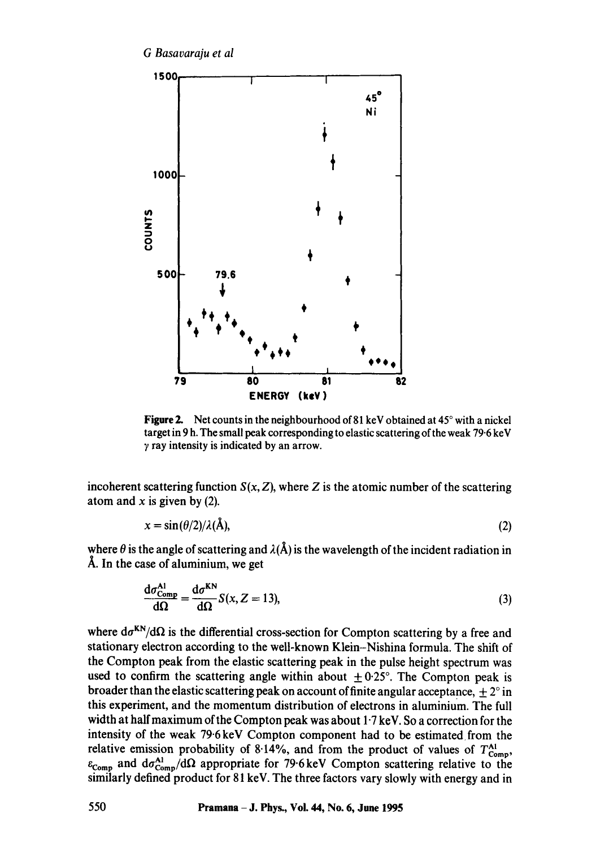

**Figure 2.** Net counts in the neighbourhood of 81 keV obtained at 45° with a nickel target in 9 h. The small peak corresponding to elastic scattering of the weak 79.6 keV  $\gamma$  ray intensity is indicated by an arrow.

incoherent scattering function  $S(x, Z)$ , where Z is the atomic number of the scattering atom and  $x$  is given by (2).

$$
x = \sin(\theta/2)/\lambda(\mathbf{A}),\tag{2}
$$

where  $\theta$  is the angle of scattering and  $\lambda(\hat{A})$  is the wavelength of the incident radiation in Å. In the case of aluminium, we get

$$
\frac{d\sigma_{\text{Comp}}^{\text{Al}}}{d\Omega} = \frac{d\sigma^{\text{KN}}}{d\Omega} S(x, Z = 13),\tag{3}
$$

where  $d\sigma^{KN}/d\Omega$  is the differential cross-section for Compton scattering by a free and stationary electron according to the well-known Klein-Nishina formula. The shift of the Compton peak from the elastic scattering peak in the pulse height spectrum was used to confirm the scattering angle within about  $\pm 0.25^{\circ}$ . The Compton peak is broader than the elastic scattering peak on account of finite angular acceptance,  $\pm 2^{\circ}$  in this experiment, and the momentum distribution of electrons in aluminium. The full width at half maximum of the Compton peak was about  $1.7 \text{ keV}$ . So a correction for the intensity of the weak 79.6 keV Compton component had to be estimated from the relative emission probability of 8.14%, and from the product of values of  $T_{\text{Comp}}^{\text{Al}}$ ,  $\varepsilon_{\text{Comp}}$  and  $d\sigma_{\text{Comp}}^{\text{Al}}/d\Omega$  appropriate for 79.6 keV Compton scattering relative to the similarly defined product for 81 keV. The three factors vary slowly with energy and in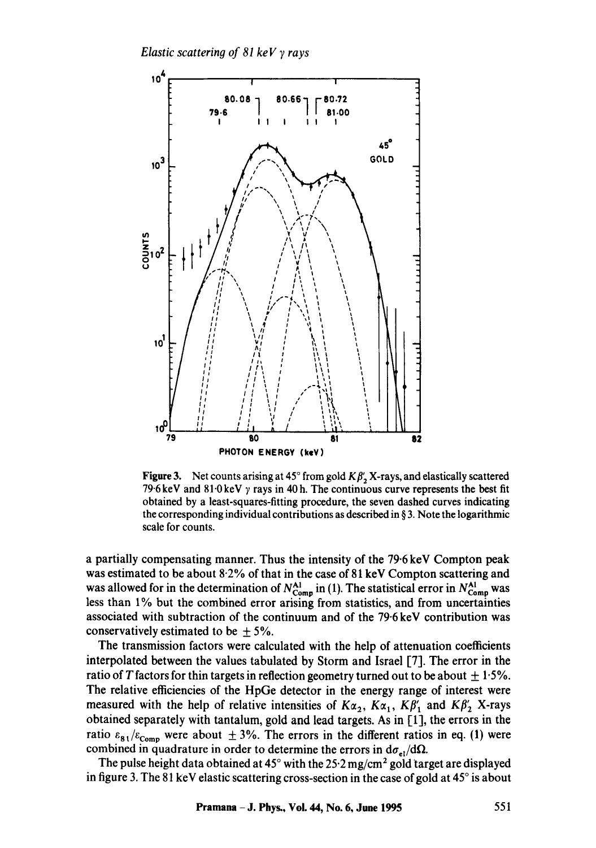

**Figure 3.** Net counts arising at 45 $^{\circ}$  from gold  $K\beta'$ , X-rays, and elastically scattered **79.6 keV and 81.0 keV y rays in 40 h. The continuous curve represents the best fit obtained by a least-squares-fitting procedure, the seven dashed curves indicating the corresponding individual contributions as described in § 3. Note the logarithmic scale for counts.** 

**a partially compensating manner. Thus the intensity of the 79.6 keV Compton peak was estimated to be about 8.2% of that in the case of 81 keV Compton scattering and**  was allowed for in the determination of  $N_{\text{Comp}}^{\text{Al}}$  in (1). The statistical error in  $N_{\text{Comp}}^{\text{Al}}$  was **less than 1% but the combined error arising from statistics, and from uncertainties associated with subtraction of the continuum and of the 79"6 keV contribution was**  conservatively estimated to be  $\pm$  5%.

**The transmission factors were calculated with the help of attenuation coefficients interpolated between the values tabulated by Storm and Israel [7]. The error in the** ratio of T factors for thin targets in reflection geometry turned out to be about  $\pm 1.5\%$ . **The relative efficiencies of the HpGe detector in the energy range of interest were**  measured with the help of relative intensities of  $K\alpha_2$ ,  $K\alpha_1$ ,  $K\beta'_1$  and  $K\beta'_2$  X-rays **obtained separately with tantalum, gold and lead targets. As in [1], the errors in the**  ratio  $\varepsilon_{81}/\varepsilon_{\text{Como}}$  were about  $\pm 3\%$ . The errors in the different ratios in eq. (1) were combined in quadrature in order to determine the errors in  $d\sigma_{el}/d\Omega$ .

The pulse height data obtained at 45° with the 25<sup>-</sup>2 mg/cm<sup>2</sup> gold target are displayed in figure 3. The 81 keV elastic scattering cross-section in the case of gold at 45° is about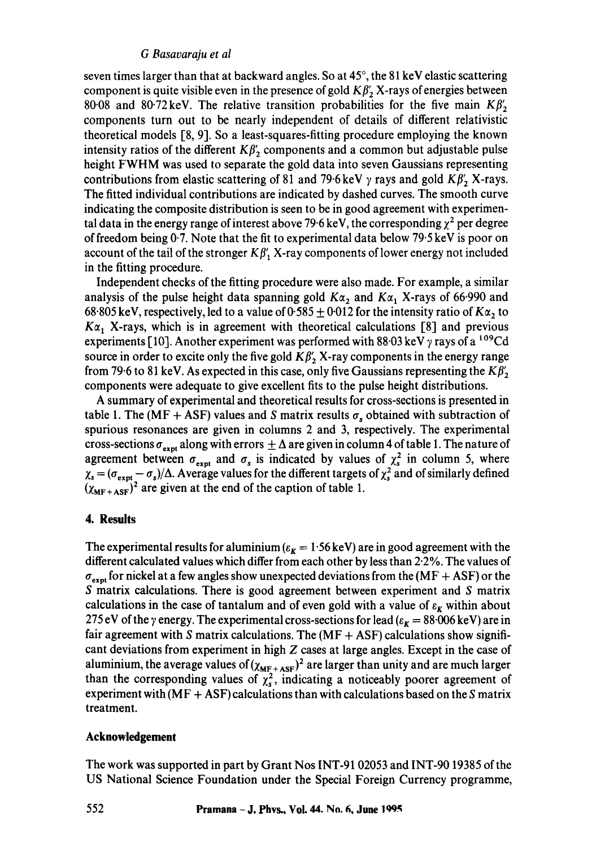# *G Basavaraju et al*

seven times larger than that at backward angles. So at  $45^\circ$ , the 81 keV elastic scattering component is quite visible even in the presence of gold  $K\beta'_{2}$  X-rays of energies between 80.08 and 80.72 keV. The relative transition probabilities for the five main  $K\beta'_{2}$ components turn out to be nearly independent of details of different relativistic theoretical models [8, 9]. So a least-squares-fitting procedure employing the known intensity ratios of the different  $K\beta'_{2}$  components and a common but adjustable pulse height FWHM was used to separate the gold data into seven Gaussians representing contributions from elastic scattering of 81 and 79.6 keV  $\gamma$  rays and gold  $K\beta'$ , X-rays. The fitted individual contributions are indicated by dashed curves. The smooth curve indicating the composite distribution is seen to be in good agreement with experimental data in the energy range of interest above 79.6 keV, the corresponding  $\chi^2$  per degree of freedom being  $0.7$ . Note that the fit to experimental data below  $79.5 \,\text{keV}$  is poor on account of the tail of the stronger  $K\beta'$  X-ray components of lower energy not included in the fitting procedure.

Independent checks of the fitting procedure were also made. For example, a similar analysis of the pulse height data spanning gold  $K\alpha_2$  and  $K\alpha_1$  X-rays of 66.990 and 68.805 keV, respectively, led to a value of 0.585  $\pm$  0.012 for the intensity ratio of  $K\alpha_2$  to  $K\alpha_1$ , X-rays, which is in agreement with theoretical calculations [8] and previous experiments [10]. Another experiment was performed with 88.03 keV  $\gamma$  rays of a <sup>109</sup>Cd source in order to excite only the five gold  $K\beta'_{2}$  X-ray components in the energy range from 79.6 to 81 keV. As expected in this case, only five Gaussians representing the  $K\beta'$ , components were adequate to give excellent fits to the pulse height distributions.

A summary of experimental and theoretical results for cross-sections is presented in table 1. The (MF + ASF) values and S matrix results  $\sigma_s$  obtained with subtraction of spurious resonances are given in columns 2 and 3, respectively. The experimental cross-sections  $\sigma_{\text{expt}}$  along with errors  $\pm \Delta$  are given in column 4 of table 1. The nature of agreement between  $\sigma_{\text{expt}}$  and  $\sigma_s$  is indicated by values of  $\chi_s^2$  in column 5, where  $\chi_s = (\sigma_{expt} - \sigma_s)/\Delta$ . Average values for the different targets of  $\chi_s^2$  and of similarly defined  $(\chi_{MF+AST})^2$  are given at the end of the caption of table 1.

# **4. Results**

The experimental results for aluminium  $(\epsilon_{\bf k} = 1.56 \,\text{keV})$  are in good agreement with the different calculated values which differ from each other by less than 2.2%. The values of  $\sigma_{\text{expt}}$  for nickel at a few angles show unexpected deviations from the (MF + ASF) or the S matrix calculations. There is good agreement between experiment and S matrix calculations in the case of tantalum and of even gold with a value of  $\varepsilon_K$  within about 275 eV of the  $\gamma$  energy. The experimental cross-sections for lead ( $\varepsilon_{\bf k} = 88.006$  keV) are in fair agreement with S matrix calculations. The  $(MF + AST)$  calculations show significant deviations from experiment in high Z cases at large angles. Except in the case of aluminium, the average values of  $(\chi_{MF+ASE})^2$  are larger than unity and are much larger than the corresponding values of  $\chi^2$ , indicating a noticeably poorer agreement of experiment with  $(MF + AST)$  calculations than with calculations based on the S matrix treatment.

# **Acknowledgement**

The work was supported in part by Grant Nos INT-91 02053 and INT-90 19385 of the US National Science Foundation under the Special Foreign Currency programme,